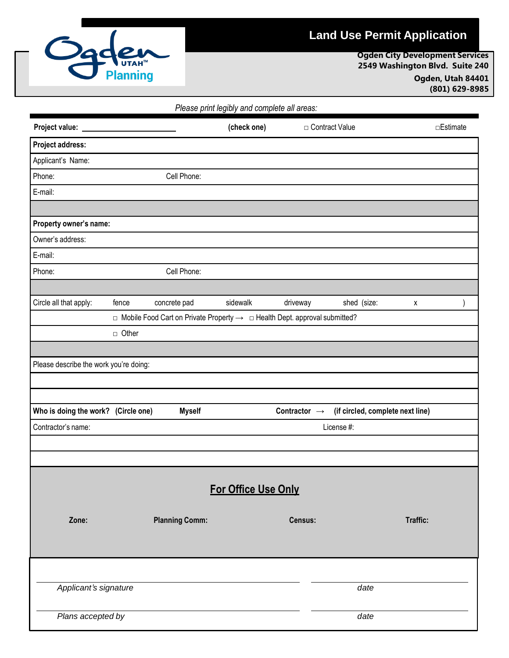

## **Land Use Permit Application**

**Ogden City Development Services 2549 Washington Blvd. Suite 240 Ogden, Utah 84401 (801) 629-8985**

| Please print legibly and complete all areas: |                                                                                                   |                       |             |                          |                                  |           |  |
|----------------------------------------------|---------------------------------------------------------------------------------------------------|-----------------------|-------------|--------------------------|----------------------------------|-----------|--|
| Project value: _____                         |                                                                                                   |                       | (check one) |                          | □ Contract Value                 | □Estimate |  |
| Project address:                             |                                                                                                   |                       |             |                          |                                  |           |  |
| Applicant's Name:                            |                                                                                                   |                       |             |                          |                                  |           |  |
| Phone:                                       |                                                                                                   | Cell Phone:           |             |                          |                                  |           |  |
| E-mail:                                      |                                                                                                   |                       |             |                          |                                  |           |  |
|                                              |                                                                                                   |                       |             |                          |                                  |           |  |
| Property owner's name:                       |                                                                                                   |                       |             |                          |                                  |           |  |
| Owner's address:                             |                                                                                                   |                       |             |                          |                                  |           |  |
| E-mail:                                      |                                                                                                   |                       |             |                          |                                  |           |  |
| Phone:                                       |                                                                                                   | Cell Phone:           |             |                          |                                  |           |  |
|                                              |                                                                                                   |                       |             |                          |                                  |           |  |
| Circle all that apply:                       | fence                                                                                             | concrete pad          | sidewalk    | driveway                 | shed (size:                      | X         |  |
|                                              | $\Box$ Mobile Food Cart on Private Property $\rightarrow$ $\Box$ Health Dept. approval submitted? |                       |             |                          |                                  |           |  |
|                                              | □ Other                                                                                           |                       |             |                          |                                  |           |  |
|                                              |                                                                                                   |                       |             |                          |                                  |           |  |
| Please describe the work you're doing:       |                                                                                                   |                       |             |                          |                                  |           |  |
|                                              |                                                                                                   |                       |             |                          |                                  |           |  |
| Who is doing the work? (Circle one)          |                                                                                                   | <b>Myself</b>         |             | Contractor $\rightarrow$ | (if circled, complete next line) |           |  |
| Contractor's name:                           |                                                                                                   |                       |             | License #:               |                                  |           |  |
|                                              |                                                                                                   |                       |             |                          |                                  |           |  |
|                                              |                                                                                                   |                       |             |                          |                                  |           |  |
|                                              |                                                                                                   |                       |             |                          |                                  |           |  |
| For Office Use Only                          |                                                                                                   |                       |             |                          |                                  |           |  |
|                                              |                                                                                                   |                       |             |                          |                                  |           |  |
| Zone:                                        |                                                                                                   | <b>Planning Comm:</b> |             | Census:                  |                                  | Traffic:  |  |
|                                              |                                                                                                   |                       |             |                          |                                  |           |  |
|                                              |                                                                                                   |                       |             |                          |                                  |           |  |
|                                              |                                                                                                   |                       |             |                          |                                  |           |  |
| Applicant's signature                        |                                                                                                   |                       |             |                          | date                             |           |  |
|                                              |                                                                                                   |                       |             |                          |                                  |           |  |
| Plans accepted by                            |                                                                                                   |                       |             |                          | date                             |           |  |
|                                              |                                                                                                   |                       |             |                          |                                  |           |  |